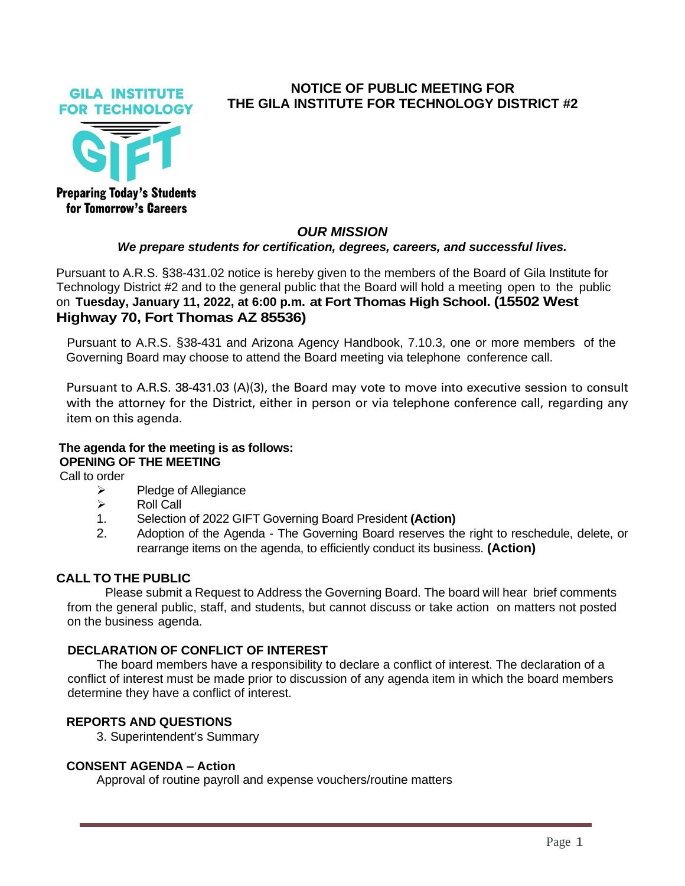**GILA INSTITUTE FOR TECHNOLOGY** 



**Preparing Today's Students** for Tomorrow's Careers

# **NOTICE OF PUBLIC MEETING FOR THE GILA INSTITUTE FOR TECHNOLOGY DISTRICT #2**

## *OUR MISSION*

#### *We prepare students for certification, degrees, careers, and successful lives.*

Pursuant to A.R.S. §38-431.02 notice is hereby given to the members of the Board of Gila Institute for Technology District #2 and to the general public that the Board will hold a meeting open to the public on **Tuesday, January 11, 2022, at 6:00 p.m. at Fort Thomas High School. (15502 West Highway 70, Fort Thomas AZ 85536)**

Pursuant to A.R.S. §38-431 and Arizona Agency Handbook, 7.10.3, one or more members of the Governing Board may choose to attend the Board meeting via telephone conference call.

Pursuant to A.R.S. 38-431.03 (A)(3), the Board may vote to move into executive session to consult with the attorney for the District, either in person or via telephone conference call, regarding any item on this agenda.

## **The agenda for the meeting is as follows: OPENING OF THE MEETING**

Call to order

- $\triangleright$  Pledge of Allegiance
- ➢ Roll Call
- 1. Selection of 2022 GIFT Governing Board President **(Action)**
- 2. Adoption of the Agenda The Governing Board reserves the right to reschedule, delete, or rearrange items on the agenda, to efficiently conduct its business. **(Action)**

#### **CALL TO THE PUBLIC**

Please submit a Request to Address the Governing Board. The board will hear brief comments from the general public, staff, and students, but cannot discuss or take action on matters not posted on the business agenda.

#### **DECLARATION OF CONFLICT OF INTEREST**

The board members have a responsibility to declare a conflict of interest. The declaration of a conflict of interest must be made prior to discussion of any agenda item in which the board members determine they have a conflict of interest.

#### **REPORTS AND QUESTIONS**

3. Superintendent's Summary

#### **CONSENT AGENDA – Action**

Approval of routine payroll and expense vouchers/routine matters